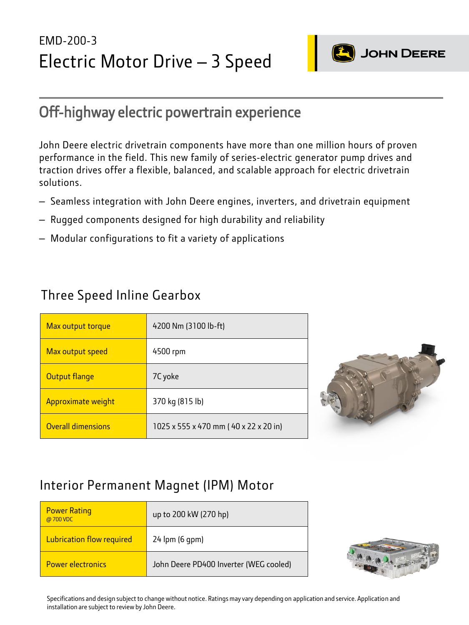# EMD-200-3 Electric Motor Drive – 3 Speed



# Off-highway electric powertrain experience

John Deere electric drivetrain components have more than one million hours of proven performance in the field. This new family of series-electric generator pump drives and traction drives offer a flexible, balanced, and scalable approach for electric drivetrain solutions.

- Seamless integration with John Deere engines, inverters, and drivetrain equipment
- Rugged components designed for high durability and reliability
- Modular configurations to fit a variety of applications

#### Three Speed Inline Gearbox

| Max output torque         | 4200 Nm (3100 lb-ft)                  |
|---------------------------|---------------------------------------|
| Max output speed          | 4500 rpm                              |
| Output flange             | 7C yoke                               |
| Approximate weight        | 370 kg (815 lb)                       |
| <b>Overall dimensions</b> | 1025 x 555 x 470 mm (40 x 22 x 20 in) |



### Interior Permanent Magnet (IPM) Motor

| <b>Power Rating</b><br>@ 700 VDC | up to 200 kW (270 hp)                  |
|----------------------------------|----------------------------------------|
| <b>Lubrication flow required</b> | 24 lpm (6 gpm)                         |
| <b>Power electronics</b>         | John Deere PD400 Inverter (WEG cooled) |



Specifications and design subject to change without notice. Ratings may vary depending on application and service. Application and installation are subject to review by John Deere.